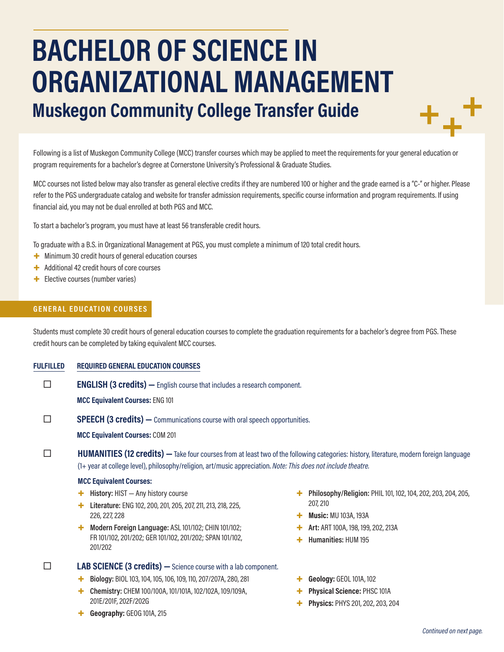# **BACHELOR OF SCIENCE IN ORGANIZATIONAL MANAGEMENT Muskegon Community College Transfer Guide**

Following is a list of Muskegon Community College (MCC) transfer courses which may be applied to meet the requirements for your general education or program requirements for a bachelor's degree at Cornerstone University's Professional & Graduate Studies.

MCC courses not listed below may also transfer as general elective credits if they are numbered 100 or higher and the grade earned is a "C-" or higher. Please refer to the PGS undergraduate catalog and website for transfer admission requirements, specific course information and program requirements. If using financial aid, you may not be dual enrolled at both PGS and MCC.

To start a bachelor's program, you must have at least 56 transferable credit hours.

To graduate with a B.S. in Organizational Management at PGS, you must complete a minimum of 120 total credit hours.

- + Minimum 30 credit hours of general education courses
- + Additional 42 credit hours of core courses
- + Elective courses (number varies)

#### **GENERAL EDUCATION COURSES**

Students must complete 30 credit hours of general education courses to complete the graduation requirements for a bachelor's degree from PGS. These credit hours can be completed by taking equivalent MCC courses.

#### **FULFILLED REQUIRED GENERAL EDUCATION COURSES**

**ENGLISH (3 credits)** — English course that includes a research component.

**MCC Equivalent Courses:** ENG 101

**SPEECH (3 credits)** — Communications course with oral speech opportunities.

**MCC Equivalent Courses:** COM 201

**HUMANITIES (12 credits)** — Take four courses from at least two of the following categories: history, literature, modern foreign language (1+ year at college level), philosophy/religion, art/music appreciation. *Note: This does not include theatre.*

#### **MCC Equivalent Courses:**

- + **History:** HIST Any history course
- + **Literature:** ENG 102, 200, 201, 205, 207, 211, 213, 218, 225, 226, 227, 228
- + **Modern Foreign Language:** ASL 101/102; CHIN 101/102; FR 101/102, 201/202; GER 101/102, 201/202; SPAN 101/102, 201/202

 **LAB SCIENCE (3 credits) —**Science course with a lab component.

- + **Biology:** BIOL 103, 104, 105, 106, 109, 110, 207/207A, 280, 281
- + **Chemistry:** CHEM 100/100A, 101/101A, 102/102A, 109/109A, 201E/201F, 202F/202G
- + **Geography:** GEOG 101A, 215
- + **Philosophy/Religion:** PHIL 101, 102, 104, 202, 203, 204, 205, 207, 210
- + **Music:** MU 103A, 193A
- + **Art:** ART 100A, 198, 199, 202, 213A
	- + **Humanities:** HUM 195
- + **Geology:** GEOL 101A, 102
- + **Physical Science:** PHSC 101A
- + **Physics:** PHYS 201, 202, 203, 204